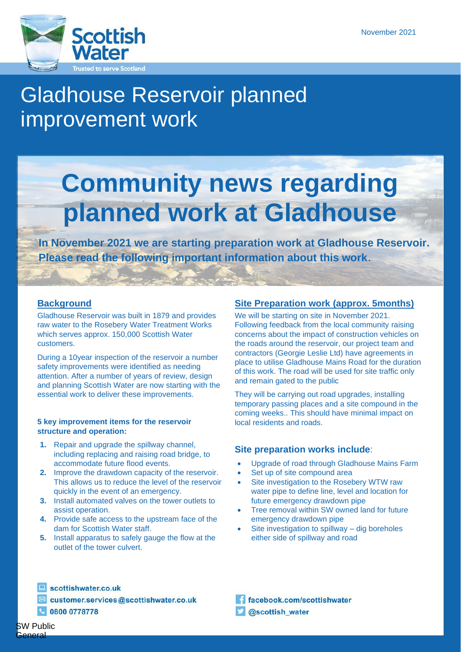

# Gladhouse Reservoir planned improvement work

# **Community news regarding planned work at Gladhouse**

**In November 2021 we are starting preparation work at Gladhouse Reservoir. Please read the following important information about this work**.

# **Background**

Gladhouse Reservoir was built in 1879 and provides raw water to the Rosebery Water Treatment Works which serves approx. 150,000 Scottish Water customers.

During a 10year inspection of the reservoir a number safety improvements were identified as needing attention. After a number of years of review, design and planning Scottish Water are now starting with the essential work to deliver these improvements.

#### **5 key improvement items for the reservoir structure and operation:**

- **1.** Repair and upgrade the spillway channel, including replacing and raising road bridge, to accommodate future flood events.
- **2.** Improve the drawdown capacity of the reservoir. This allows us to reduce the level of the reservoir quickly in the event of an emergency.
- **3.** Install automated valves on the tower outlets to assist operation.
- **4.** Provide safe access to the upstream face of the dam for Scottish Water staff.
- **5.** Install apparatus to safely gauge the flow at the outlet of the tower culvert.

# **Site Preparation work (approx. 5months)**

We will be starting on site in November 2021. Following feedback from the local community raising concerns about the impact of construction vehicles on the roads around the reservoir, our project team and contractors (Georgie Leslie Ltd) have agreements in place to utilise Gladhouse Mains Road for the duration of this work. The road will be used for site traffic only and remain gated to the public

They will be carrying out road upgrades, installing temporary passing places and a site compound in the coming weeks.. This should have minimal impact on local residents and roads.

# **Site preparation works include**:

- Upgrade of road through Gladhouse Mains Farm
- Set up of site compound area
- Site investigation to the Rosebery WTW raw water pipe to define line, level and location for future emergency drawdown pipe
- Tree removal within SW owned land for future emergency drawdown pipe
- Site investigation to spillway dig boreholes either side of spillway and road

scottishwater.co.uk

customer.services@scottishwater.co.uk

0800 0778778

facebook.com/scottishwater @scottish\_water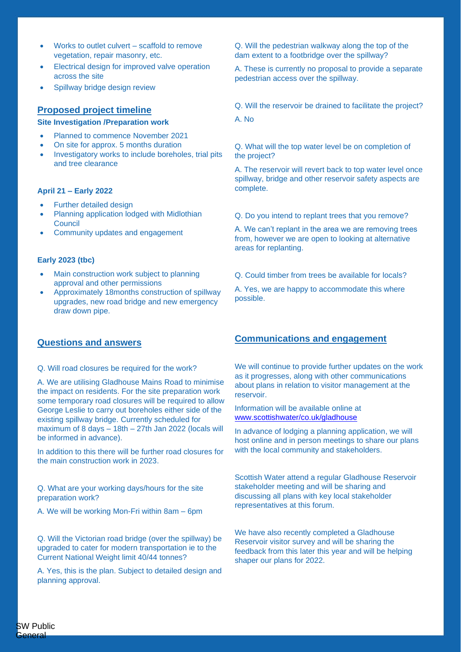- Works to outlet culvert scaffold to remove vegetation, repair masonry, etc.
- Electrical design for improved valve operation across the site
- Spillway bridge design review

# **Proposed project timeline**

#### **Site Investigation /Preparation work**

- Planned to commence November 2021
- On site for approx. 5 months duration
- Investigatory works to include boreholes, trial pits and tree clearance

#### **April 21 – Early 2022**

- Further detailed design
- Planning application lodged with Midlothian **Council**
- Community updates and engagement

#### **Early 2023 (tbc)**

- Main construction work subject to planning approval and other permissions
- Approximately 18months construction of spillway upgrades, new road bridge and new emergency draw down pipe.

# **Questions and answers**

#### Q. Will road closures be required for the work?

A. We are utilising Gladhouse Mains Road to minimise the impact on residents. For the site preparation work some temporary road closures will be required to allow George Leslie to carry out boreholes either side of the existing spillway bridge. Currently scheduled for maximum of 8 days – 18th – 27th Jan 2022 (locals will be informed in advance).

In addition to this there will be further road closures for the main construction work in 2023.

Q. What are your working days/hours for the site preparation work?

A. We will be working Mon-Fri within 8am – 6pm

Q. Will the Victorian road bridge (over the spillway) be upgraded to cater for modern transportation ie to the Current National Weight limit 40/44 tonnes?

A. Yes, this is the plan. Subject to detailed design and planning approval.

Q. Will the pedestrian walkway along the top of the dam extent to a footbridge over the spillway?

A. These is currently no proposal to provide a separate pedestrian access over the spillway.

Q. Will the reservoir be drained to facilitate the project?

A. No

Q. What will the top water level be on completion of the project?

A. The reservoir will revert back to top water level once spillway, bridge and other reservoir safety aspects are complete.

Q. Do you intend to replant trees that you remove?

A. We can't replant in the area we are removing trees from, however we are open to looking at alternative areas for replanting.

Q. Could timber from trees be available for locals?

A. Yes, we are happy to accommodate this where possible.

# **Communications and engagement**

We will continue to provide further updates on the work as it progresses, along with other communications about plans in relation to visitor management at the reservoir.

Information will be available online at [www.scottishwater/co.uk/gladhouse](http://www.scottishwater/co.uk/gladhouse)

In advance of lodging a planning application, we will host online and in person meetings to share our plans with the local community and stakeholders.

Scottish Water attend a regular Gladhouse Reservoir stakeholder meeting and will be sharing and discussing all plans with key local stakeholder representatives at this forum.

We have also recently completed a Gladhouse Reservoir visitor survey and will be sharing the feedback from this later this year and will be helping shaper our plans for 2022.